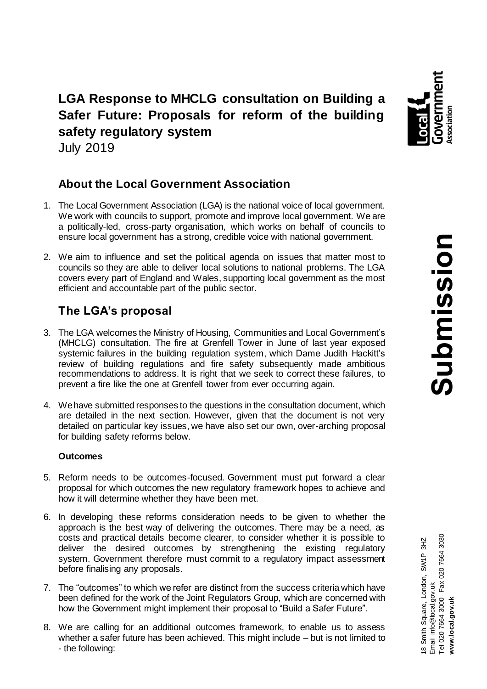

**LGA Response to MHCLG consultation on Building a Safer Future: Proposals for reform of the building safety regulatory system** July 2019

# **About the Local Government Association**

- 1. The Local Government Association (LGA) is the national voice of local government. We work with councils to support, promote and improve local government. We are a politically-led, cross-party organisation, which works on behalf of councils to ensure local government has a strong, credible voice with national government.
- 2. We aim to influence and set the political agenda on issues that matter most to councils so they are able to deliver local solutions to national problems. The LGA covers every part of England and Wales, supporting local government as the most efficient and accountable part of the public sector.

# **The LGA's proposal**

- 3. The LGA welcomes the Ministry of Housing, Communities and Local Government's (MHCLG) consultation. The fire at Grenfell Tower in June of last year exposed systemic failures in the building regulation system, which Dame Judith Hackitt's review of building regulations and fire safety subsequently made ambitious recommendations to address. It is right that we seek to correct these failures, to prevent a fire like the one at Grenfell tower from ever occurring again.
- 4. We have submitted responses to the questions in the consultation document, which are detailed in the next section. However, given that the document is not very detailed on particular key issues, we have also set our own, over-arching proposal for building safety reforms below.

## **Outcomes**

- 5. Reform needs to be outcomes-focused. Government must put forward a clear proposal for which outcomes the new regulatory framework hopes to achieve and how it will determine whether they have been met.
- 6. In developing these reforms consideration needs to be given to whether the approach is the best way of delivering the outcomes. There may be a need, as costs and practical details become clearer, to consider whether it is possible to deliver the desired outcomes by strengthening the existing regulatory system. Government therefore must commit to a regulatory impact assessment before finalising any proposals.
- 7. The "outcomes" to which we refer are distinct from the success criteria which have been defined for the work of the Joint Regulators Group, which are concerned with how the Government might implement their proposal to "Build a Safer Future".
- 8. We are calling for an additional outcomes framework, to enable us to assess whether a safer future has been achieved. This might include – but is not limited to - the following: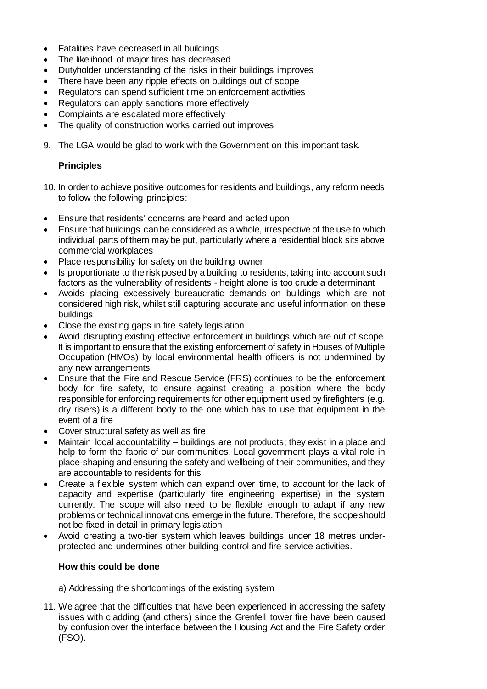- Fatalities have decreased in all buildings
- The likelihood of major fires has decreased
- Dutyholder understanding of the risks in their buildings improves
- There have been any ripple effects on buildings out of scope
- Regulators can spend sufficient time on enforcement activities
- Regulators can apply sanctions more effectively
- Complaints are escalated more effectively
- The quality of construction works carried out improves
- 9. The LGA would be glad to work with the Government on this important task.

# **Principles**

- 10. In order to achieve positive outcomes for residents and buildings, any reform needs to follow the following principles:
- Ensure that residents' concerns are heard and acted upon
- Ensure that buildings can be considered as a whole, irrespective of the use to which individual parts of them may be put, particularly where a residential block sits above commercial workplaces
- Place responsibility for safety on the building owner
- Is proportionate to the risk posed by a building to residents,taking into account such factors as the vulnerability of residents - height alone is too crude a determinant
- Avoids placing excessively bureaucratic demands on buildings which are not considered high risk, whilst still capturing accurate and useful information on these buildings
- Close the existing gaps in fire safety legislation
- Avoid disrupting existing effective enforcement in buildings which are out of scope. It is important to ensure that the existing enforcement of safety in Houses of Multiple Occupation (HMOs) by local environmental health officers is not undermined by any new arrangements
- Ensure that the Fire and Rescue Service (FRS) continues to be the enforcement body for fire safety, to ensure against creating a position where the body responsible for enforcing requirements for other equipment used by firefighters (e.g. dry risers) is a different body to the one which has to use that equipment in the event of a fire
- Cover structural safety as well as fire
- Maintain local accountability buildings are not products; they exist in a place and help to form the fabric of our communities. Local government plays a vital role in place-shaping and ensuring the safety and wellbeing of their communities, and they are accountable to residents for this
- Create a flexible system which can expand over time, to account for the lack of capacity and expertise (particularly fire engineering expertise) in the system currently. The scope will also need to be flexible enough to adapt if any new problems or technical innovations emerge in the future. Therefore, the scope should not be fixed in detail in primary legislation
- Avoid creating a two-tier system which leaves buildings under 18 metres underprotected and undermines other building control and fire service activities.

## **How this could be done**

## a) Addressing the shortcomings of the existing system

11. We agree that the difficulties that have been experienced in addressing the safety issues with cladding (and others) since the Grenfell tower fire have been caused by confusion over the interface between the Housing Act and the Fire Safety order (FSO).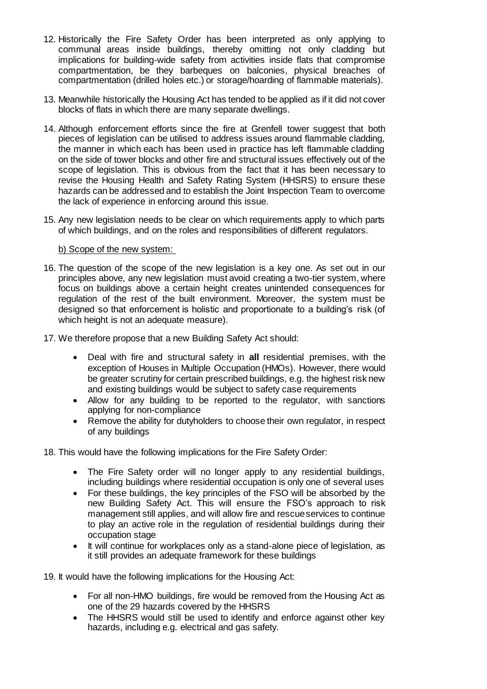- 12. Historically the Fire Safety Order has been interpreted as only applying to communal areas inside buildings, thereby omitting not only cladding but implications for building-wide safety from activities inside flats that compromise compartmentation, be they barbeques on balconies, physical breaches of compartmentation (drilled holes etc.) or storage/hoarding of flammable materials).
- 13. Meanwhile historically the Housing Act has tended to be applied as if it did not cover blocks of flats in which there are many separate dwellings.
- 14. Although enforcement efforts since the fire at Grenfell tower suggest that both pieces of legislation can be utilised to address issues around flammable cladding, the manner in which each has been used in practice has left flammable cladding on the side of tower blocks and other fire and structural issues effectively out of the scope of legislation. This is obvious from the fact that it has been necessary to revise the Housing Health and Safety Rating System (HHSRS) to ensure these hazards can be addressed and to establish the Joint Inspection Team to overcome the lack of experience in enforcing around this issue.
- 15. Any new legislation needs to be clear on which requirements apply to which parts of which buildings, and on the roles and responsibilities of different regulators.

#### b) Scope of the new system:

- 16. The question of the scope of the new legislation is a key one. As set out in our principles above, any new legislation must avoid creating a two-tier system, where focus on buildings above a certain height creates unintended consequences for regulation of the rest of the built environment. Moreover, the system must be designed so that enforcement is holistic and proportionate to a building's risk (of which height is not an adequate measure).
- 17. We therefore propose that a new Building Safety Act should:
	- Deal with fire and structural safety in **all** residential premises, with the exception of Houses in Multiple Occupation (HMOs). However, there would be greater scrutiny for certain prescribed buildings, e.g. the highest risk new and existing buildings would be subject to safety case requirements
	- Allow for any building to be reported to the regulator, with sanctions applying for non-compliance
	- Remove the ability for dutyholders to choose their own regulator, in respect of any buildings

18. This would have the following implications for the Fire Safety Order:

- The Fire Safety order will no longer apply to any residential buildings, including buildings where residential occupation is only one of several uses
- For these buildings, the key principles of the FSO will be absorbed by the new Building Safety Act. This will ensure the FSO's approach to risk management still applies, and will allow fire and rescue services to continue to play an active role in the regulation of residential buildings during their occupation stage
- It will continue for workplaces only as a stand-alone piece of legislation, as it still provides an adequate framework for these buildings

19. It would have the following implications for the Housing Act:

- For all non-HMO buildings, fire would be removed from the Housing Act as one of the 29 hazards covered by the HHSRS
- The HHSRS would still be used to identify and enforce against other key hazards, including e.g. electrical and gas safety.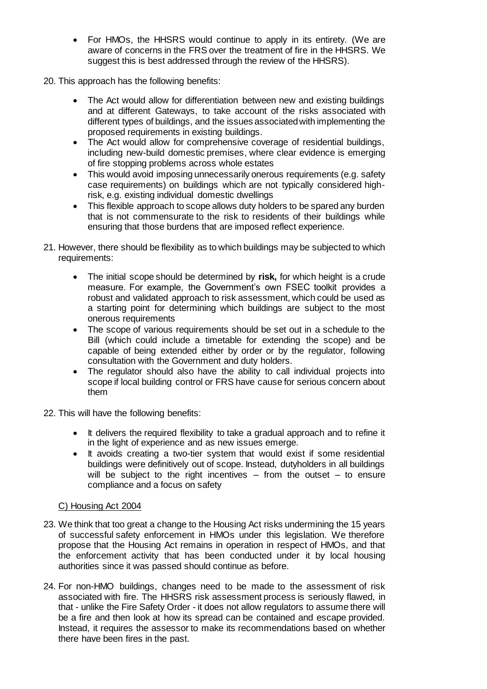- For HMOs, the HHSRS would continue to apply in its entirety. (We are aware of concerns in the FRS over the treatment of fire in the HHSRS. We suggest this is best addressed through the review of the HHSRS).
- 20. This approach has the following benefits:
	- The Act would allow for differentiation between new and existing buildings and at different Gateways, to take account of the risks associated with different types of buildings, and the issues associated with implementing the proposed requirements in existing buildings.
	- The Act would allow for comprehensive coverage of residential buildings, including new-build domestic premises, where clear evidence is emerging of fire stopping problems across whole estates
	- This would avoid imposing unnecessarily onerous requirements (e.g. safety case requirements) on buildings which are not typically considered highrisk, e.g. existing individual domestic dwellings
	- This flexible approach to scope allows duty holders to be spared any burden that is not commensurate to the risk to residents of their buildings while ensuring that those burdens that are imposed reflect experience.
- 21. However, there should be flexibility as to which buildings may be subjected to which requirements:
	- The initial scope should be determined by **risk,** for which height is a crude measure. For example, the Government's own FSEC toolkit provides a robust and validated approach to risk assessment, which could be used as a starting point for determining which buildings are subject to the most onerous requirements
	- The scope of various requirements should be set out in a schedule to the Bill (which could include a timetable for extending the scope) and be capable of being extended either by order or by the regulator, following consultation with the Government and duty holders.
	- The regulator should also have the ability to call individual projects into scope if local building control or FRS have cause for serious concern about them
- 22. This will have the following benefits:
	- It delivers the required flexibility to take a gradual approach and to refine it in the light of experience and as new issues emerge.
	- It avoids creating a two-tier system that would exist if some residential buildings were definitively out of scope. Instead, dutyholders in all buildings will be subject to the right incentives  $-$  from the outset  $-$  to ensure compliance and a focus on safety

# C) Housing Act 2004

- 23. We think that too great a change to the Housing Act risks undermining the 15 years of successful safety enforcement in HMOs under this legislation. We therefore propose that the Housing Act remains in operation in respect of HMOs, and that the enforcement activity that has been conducted under it by local housing authorities since it was passed should continue as before.
- 24. For non-HMO buildings, changes need to be made to the assessment of risk associated with fire. The HHSRS risk assessment process is seriously flawed, in that - unlike the Fire Safety Order - it does not allow regulators to assume there will be a fire and then look at how its spread can be contained and escape provided. Instead, it requires the assessor to make its recommendations based on whether there have been fires in the past.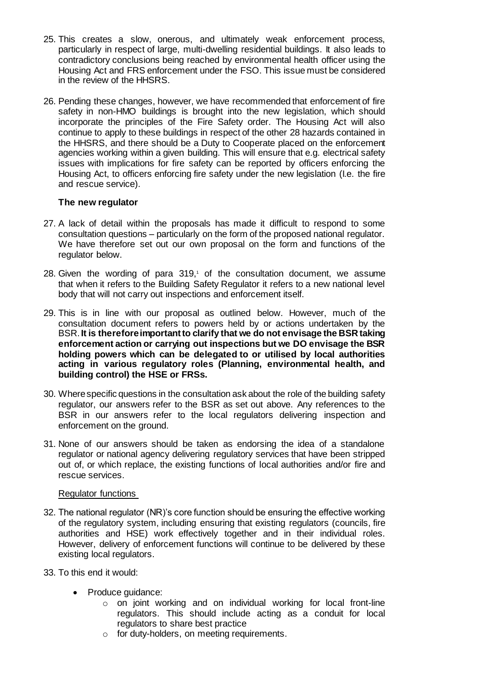- 25. This creates a slow, onerous, and ultimately weak enforcement process, particularly in respect of large, multi-dwelling residential buildings. It also leads to contradictory conclusions being reached by environmental health officer using the Housing Act and FRS enforcement under the FSO. This issue must be considered in the review of the HHSRS.
- 26. Pending these changes, however, we have recommended that enforcement of fire safety in non-HMO buildings is brought into the new legislation, which should incorporate the principles of the Fire Safety order. The Housing Act will also continue to apply to these buildings in respect of the other 28 hazards contained in the HHSRS, and there should be a Duty to Cooperate placed on the enforcement agencies working within a given building. This will ensure that e.g. electrical safety issues with implications for fire safety can be reported by officers enforcing the Housing Act, to officers enforcing fire safety under the new legislation (I.e. the fire and rescue service).

#### **The new regulator**

- 27. A lack of detail within the proposals has made it difficult to respond to some consultation questions – particularly on the form of the proposed national regulator. We have therefore set out our own proposal on the form and functions of the regulator below.
- 28. Given the wording of para  $319<sub>i</sub>$  of the consultation document, we assume that when it refers to the Building Safety Regulator it refers to a new national level body that will not carry out inspections and enforcement itself.
- 29. This is in line with our proposal as outlined below. However, much of the consultation document refers to powers held by or actions undertaken by the BSR.**It is therefore important to clarify that we do not envisage the BSR taking enforcement action or carrying out inspections but we DO envisage the BSR holding powers which can be delegated to or utilised by local authorities acting in various regulatory roles (Planning, environmental health, and building control) the HSE or FRSs.**
- 30. Where specific questions in the consultation ask about the role of the building safety regulator, our answers refer to the BSR as set out above. Any references to the BSR in our answers refer to the local regulators delivering inspection and enforcement on the ground.
- 31. None of our answers should be taken as endorsing the idea of a standalone regulator or national agency delivering regulatory services that have been stripped out of, or which replace, the existing functions of local authorities and/or fire and rescue services.

## Regulator functions

- 32. The national regulator (NR)'s core function should be ensuring the effective working of the regulatory system, including ensuring that existing regulators (councils, fire authorities and HSE) work effectively together and in their individual roles. However, delivery of enforcement functions will continue to be delivered by these existing local regulators.
- 33. To this end it would:
	- Produce guidance:
		- o on joint working and on individual working for local front-line regulators. This should include acting as a conduit for local regulators to share best practice
		- o for duty-holders, on meeting requirements.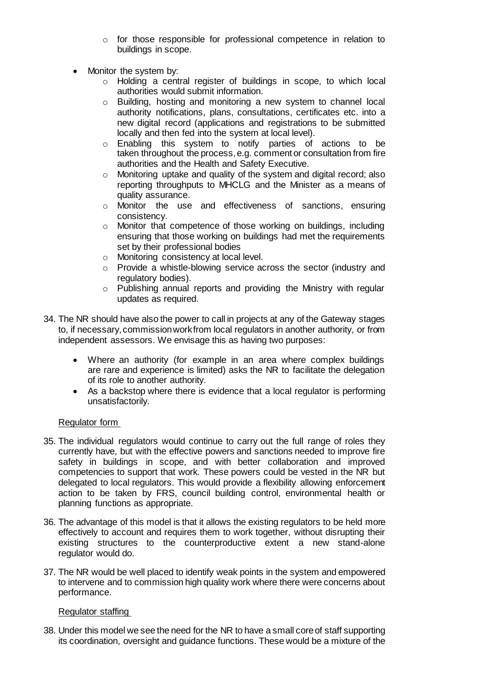- o for those responsible for professional competence in relation to buildings in scope.
- Monitor the system by:
	- o Holding a central register of buildings in scope, to which local authorities would submit information.
	- o Building, hosting and monitoring a new system to channel local authority notifications, plans, consultations, certificates etc. into a new digital record (applications and registrations to be submitted locally and then fed into the system at local level).
	- o Enabling this system to notify parties of actions to be taken throughout the process, e.g. comment or consultation from fire authorities and the Health and Safety Executive.
	- o Monitoring uptake and quality of the system and digital record; also reporting throughputs to MHCLG and the Minister as a means of quality assurance.
	- o Monitor the use and effectiveness of sanctions, ensuring consistency.
	- o Monitor that competence of those working on buildings, including ensuring that those working on buildings had met the requirements set by their professional bodies
	- o Monitoring consistency at local level.
	- o Provide a whistle-blowing service across the sector (industry and regulatory bodies).
	- o Publishing annual reports and providing the Ministry with regular updates as required.
- 34. The NR should have also the power to call in projects at any of the Gateway stages to, if necessary,commission work from local regulators in another authority, or from independent assessors. We envisage this as having two purposes:
	- Where an authority (for example in an area where complex buildings are rare and experience is limited) asks the NR to facilitate the delegation of its role to another authority.
	- As a backstop where there is evidence that a local regulator is performing unsatisfactorily.

# Regulator form

- 35. The individual regulators would continue to carry out the full range of roles they currently have, but with the effective powers and sanctions needed to improve fire safety in buildings in scope, and with better collaboration and improved competencies to support that work. These powers could be vested in the NR but delegated to local regulators. This would provide a flexibility allowing enforcement action to be taken by FRS, council building control, environmental health or planning functions as appropriate.
- 36. The advantage of this model is that it allows the existing regulators to be held more effectively to account and requires them to work together, without disrupting their existing structures to the counterproductive extent a new stand-alone regulator would do.
- 37. The NR would be well placed to identify weak points in the system and empowered to intervene and to commission high quality work where there were concerns about performance.

## Regulator staffing

38. Under this model we see the need for the NR to have a small core of staff supporting its coordination, oversight and guidance functions. These would be a mixture of the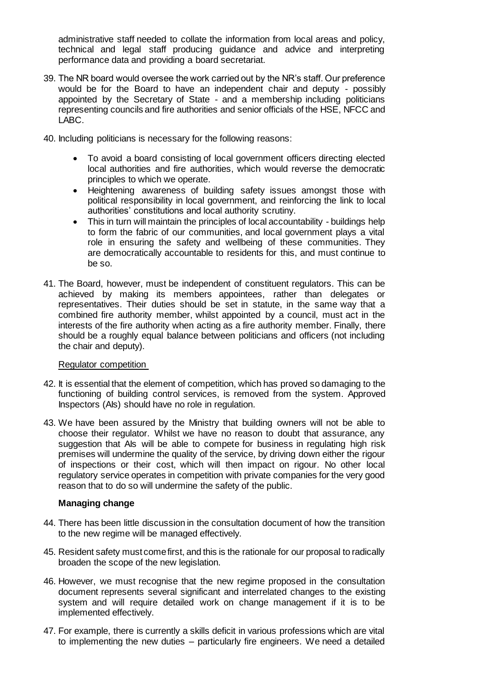administrative staff needed to collate the information from local areas and policy, technical and legal staff producing guidance and advice and interpreting performance data and providing a board secretariat.

- 39. The NR board would oversee the work carried out by the NR's staff. Our preference would be for the Board to have an independent chair and deputy - possibly appointed by the Secretary of State - and a membership including politicians representing councils and fire authorities and senior officials of the HSE, NFCC and LABC.
- 40. Including politicians is necessary for the following reasons:
	- To avoid a board consisting of local government officers directing elected local authorities and fire authorities, which would reverse the democratic principles to which we operate.
	- Heightening awareness of building safety issues amongst those with political responsibility in local government, and reinforcing the link to local authorities' constitutions and local authority scrutiny.
	- This in turn will maintain the principles of local accountability buildings help to form the fabric of our communities, and local government plays a vital role in ensuring the safety and wellbeing of these communities. They are democratically accountable to residents for this, and must continue to be so.
- 41. The Board, however, must be independent of constituent regulators. This can be achieved by making its members appointees, rather than delegates or representatives. Their duties should be set in statute, in the same way that a combined fire authority member, whilst appointed by a council, must act in the interests of the fire authority when acting as a fire authority member. Finally, there should be a roughly equal balance between politicians and officers (not including the chair and deputy).

#### Regulator competition

- 42. It is essential that the element of competition, which has proved so damaging to the functioning of building control services, is removed from the system. Approved Inspectors (AIs) should have no role in regulation.
- 43. We have been assured by the Ministry that building owners will not be able to choose their regulator. Whilst we have no reason to doubt that assurance, any suggestion that AIs will be able to compete for business in regulating high risk premises will undermine the quality of the service, by driving down either the rigour of inspections or their cost, which will then impact on rigour. No other local regulatory service operates in competition with private companies for the very good reason that to do so will undermine the safety of the public.

## **Managing change**

- 44. There has been little discussion in the consultation document of how the transition to the new regime will be managed effectively.
- 45. Resident safety must come first, and this is the rationale for our proposal to radically broaden the scope of the new legislation.
- 46. However, we must recognise that the new regime proposed in the consultation document represents several significant and interrelated changes to the existing system and will require detailed work on change management if it is to be implemented effectively.
- 47. For example, there is currently a skills deficit in various professions which are vital to implementing the new duties – particularly fire engineers. We need a detailed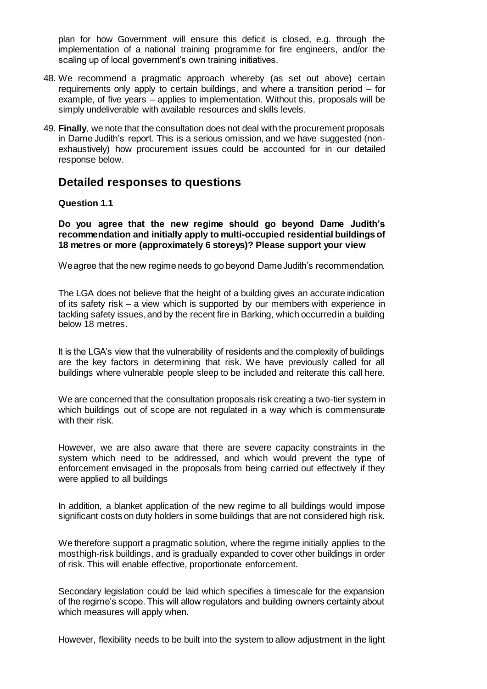plan for how Government will ensure this deficit is closed, e.g. through the implementation of a national training programme for fire engineers, and/or the scaling up of local government's own training initiatives.

- 48. We recommend a pragmatic approach whereby (as set out above) certain requirements only apply to certain buildings, and where a transition period – for example, of five years – applies to implementation. Without this, proposals will be simply undeliverable with available resources and skills levels.
- 49. **Finally**, we note that the consultation does not deal with the procurement proposals in Dame Judith's report. This is a serious omission, and we have suggested (nonexhaustively) how procurement issues could be accounted for in our detailed response below.

# **Detailed responses to questions**

#### **Question 1.1**

**Do you agree that the new regime should go beyond Dame Judith's recommendation and initially apply to multi-occupied residential buildings of 18 metres or more (approximately 6 storeys)? Please support your view**

We agree that the new regime needs to go beyond Dame Judith's recommendation.

The LGA does not believe that the height of a building gives an accurate indication of its safety risk – a view which is supported by our members with experience in tackling safety issues, and by the recent fire in Barking, which occurred in a building below 18 metres.

It is the LGA's view that the vulnerability of residents and the complexity of buildings are the key factors in determining that risk. We have previously called for all buildings where vulnerable people sleep to be included and reiterate this call here.

We are concerned that the consultation proposals risk creating a two-tier system in which buildings out of scope are not regulated in a way which is commensurate with their risk.

However, we are also aware that there are severe capacity constraints in the system which need to be addressed, and which would prevent the type of enforcement envisaged in the proposals from being carried out effectively if they were applied to all buildings

In addition, a blanket application of the new regime to all buildings would impose significant costs on duty holders in some buildings that are not considered high risk.

We therefore support a pragmatic solution, where the regime initially applies to the most high-risk buildings, and is gradually expanded to cover other buildings in order of risk. This will enable effective, proportionate enforcement.

Secondary legislation could be laid which specifies a timescale for the expansion of the regime's scope. This will allow regulators and building owners certainty about which measures will apply when.

However, flexibility needs to be built into the system to allow adjustment in the light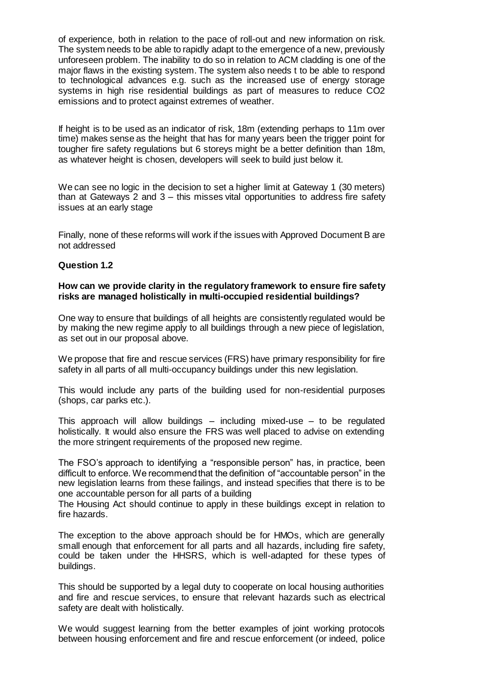of experience, both in relation to the pace of roll-out and new information on risk. The system needs to be able to rapidly adapt to the emergence of a new, previously unforeseen problem. The inability to do so in relation to ACM cladding is one of the major flaws in the existing system. The system also needs t to be able to respond to technological advances e.g. such as the increased use of energy storage systems in high rise residential buildings as part of measures to reduce CO2 emissions and to protect against extremes of weather.

If height is to be used as an indicator of risk, 18m (extending perhaps to 11m over time) makes sense as the height that has for many years been the trigger point for tougher fire safety regulations but 6 storeys might be a better definition than 18m, as whatever height is chosen, developers will seek to build just below it.

We can see no logic in the decision to set a higher limit at Gateway 1 (30 meters) than at Gateways 2 and 3 – this misses vital opportunities to address fire safety issues at an early stage

Finally, none of these reforms will work if the issues with Approved Document B are not addressed

## **Question 1.2**

#### **How can we provide clarity in the regulatory framework to ensure fire safety risks are managed holistically in multi-occupied residential buildings?**

One way to ensure that buildings of all heights are consistently regulated would be by making the new regime apply to all buildings through a new piece of legislation, as set out in our proposal above.

We propose that fire and rescue services (FRS) have primary responsibility for fire safety in all parts of all multi-occupancy buildings under this new legislation.

This would include any parts of the building used for non-residential purposes (shops, car parks etc.).

This approach will allow buildings – including mixed-use – to be regulated holistically. It would also ensure the FRS was well placed to advise on extending the more stringent requirements of the proposed new regime.

The FSO's approach to identifying a "responsible person" has, in practice, been difficult to enforce. We recommend that the definition of "accountable person" in the new legislation learns from these failings, and instead specifies that there is to be one accountable person for all parts of a building

The Housing Act should continue to apply in these buildings except in relation to fire hazards.

The exception to the above approach should be for HMOs, which are generally small enough that enforcement for all parts and all hazards, including fire safety, could be taken under the HHSRS, which is well-adapted for these types of buildings.

This should be supported by a legal duty to cooperate on local housing authorities and fire and rescue services, to ensure that relevant hazards such as electrical safety are dealt with holistically.

We would suggest learning from the better examples of joint working protocols between housing enforcement and fire and rescue enforcement (or indeed, police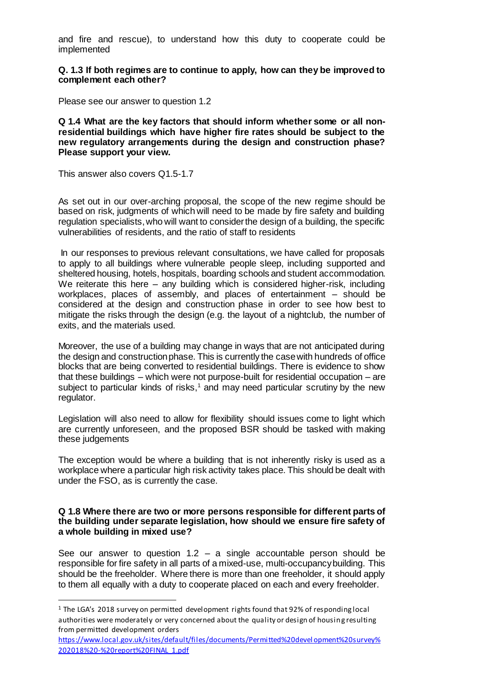and fire and rescue), to understand how this duty to cooperate could be implemented

**Q. 1.3 If both regimes are to continue to apply, how can they be improved to complement each other?**

Please see our answer to question 1.2

**Q 1.4 What are the key factors that should inform whether some or all nonresidential buildings which have higher fire rates should be subject to the new regulatory arrangements during the design and construction phase? Please support your view.**

This answer also covers Q1.5-1.7

 $\overline{a}$ 

As set out in our over-arching proposal, the scope of the new regime should be based on risk, judgments of which will need to be made by fire safety and building regulation specialists, who will want to consider the design of a building, the specific vulnerabilities of residents, and the ratio of staff to residents

In our responses to previous relevant consultations, we have called for proposals to apply to all buildings where vulnerable people sleep, including supported and sheltered housing, hotels, hospitals, boarding schools and student accommodation. We reiterate this here – any building which is considered higher-risk, including workplaces, places of assembly, and places of entertainment – should be considered at the design and construction phase in order to see how best to mitigate the risks through the design (e.g. the layout of a nightclub, the number of exits, and the materials used.

Moreover, the use of a building may change in ways that are not anticipated during the design and construction phase. This is currently the case with hundreds of office blocks that are being converted to residential buildings. There is evidence to show that these buildings – which were not purpose-built for residential occupation – are subject to particular kinds of risks, $1$  and may need particular scrutiny by the new regulator.

Legislation will also need to allow for flexibility should issues come to light which are currently unforeseen, and the proposed BSR should be tasked with making these judgements

The exception would be where a building that is not inherently risky is used as a workplace where a particular high risk activity takes place. This should be dealt with under the FSO, as is currently the case.

#### **Q 1.8 Where there are two or more persons responsible for different parts of the building under separate legislation, how should we ensure fire safety of a whole building in mixed use?**

See our answer to question  $1.2 - a$  single accountable person should be responsible for fire safety in all parts of a mixed-use, multi-occupancy building. This should be the freeholder. Where there is more than one freeholder, it should apply to them all equally with a duty to cooperate placed on each and every freeholder.

<sup>1</sup> The LGA's 2018 survey on permitted development rights found that 92% of responding local authorities were moderately or very concerned about the quality or design of housing resulting from permitted development orders

[https://www.local.gov.uk/sites/default/files/documents/Permitted%20devel](https://www.local.gov.uk/sites/default/files/documents/Permitted%20development%20survey%202018%20-%20report%20FINAL_1.pdf) opment%20survey% [202018%20-%20report%20FINAL\\_1.pdf](https://www.local.gov.uk/sites/default/files/documents/Permitted%20development%20survey%202018%20-%20report%20FINAL_1.pdf)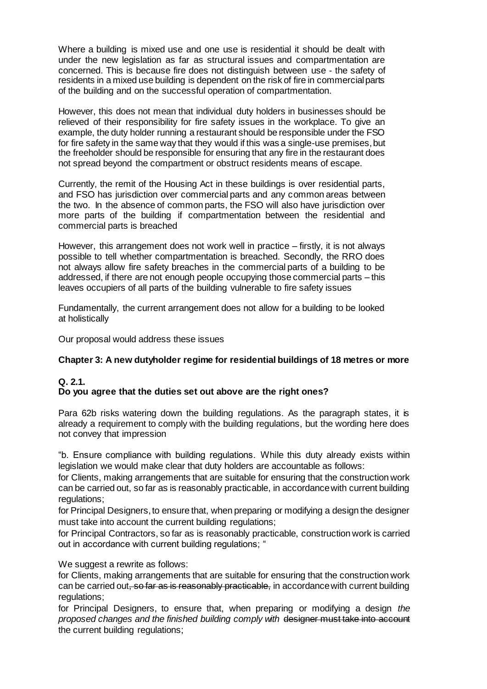Where a building is mixed use and one use is residential it should be dealt with under the new legislation as far as structural issues and compartmentation are concerned. This is because fire does not distinguish between use - the safety of residents in a mixed use building is dependent on the risk of fire in commercial parts of the building and on the successful operation of compartmentation.

However, this does not mean that individual duty holders in businesses should be relieved of their responsibility for fire safety issues in the workplace. To give an example, the duty holder running a restaurant should be responsible under the FSO for fire safety in the same way that they would if this was a single-use premises, but the freeholder should be responsible for ensuring that any fire in the restaurant does not spread beyond the compartment or obstruct residents means of escape.

Currently, the remit of the Housing Act in these buildings is over residential parts, and FSO has jurisdiction over commercial parts and any common areas between the two. In the absence of common parts, the FSO will also have jurisdiction over more parts of the building if compartmentation between the residential and commercial parts is breached

However, this arrangement does not work well in practice – firstly, it is not always possible to tell whether compartmentation is breached. Secondly, the RRO does not always allow fire safety breaches in the commercial parts of a building to be addressed, if there are not enough people occupying those commercial parts – this leaves occupiers of all parts of the building vulnerable to fire safety issues

Fundamentally, the current arrangement does not allow for a building to be looked at holistically

Our proposal would address these issues

## **Chapter 3: A new dutyholder regime for residential buildings of 18 metres or more**

# **Q. 2.1. Do you agree that the duties set out above are the right ones?**

Para 62b risks watering down the building regulations. As the paragraph states, it is already a requirement to comply with the building regulations, but the wording here does not convey that impression

"b. Ensure compliance with building regulations. While this duty already exists within legislation we would make clear that duty holders are accountable as follows:

 for Clients, making arrangements that are suitable for ensuring that the construction work can be carried out, so far as is reasonably practicable, in accordance with current building regulations;

 for Principal Designers, to ensure that, when preparing or modifying a design the designer must take into account the current building regulations;

 for Principal Contractors, so far as is reasonably practicable, construction work is carried out in accordance with current building regulations; "

We suggest a rewrite as follows:

 for Clients, making arrangements that are suitable for ensuring that the construction work can be carried out, so far as is reasonably practicable, in accordance with current building regulations;

 for Principal Designers, to ensure that, when preparing or modifying a design *the proposed changes and the finished building comply with* designer must take into account the current building regulations;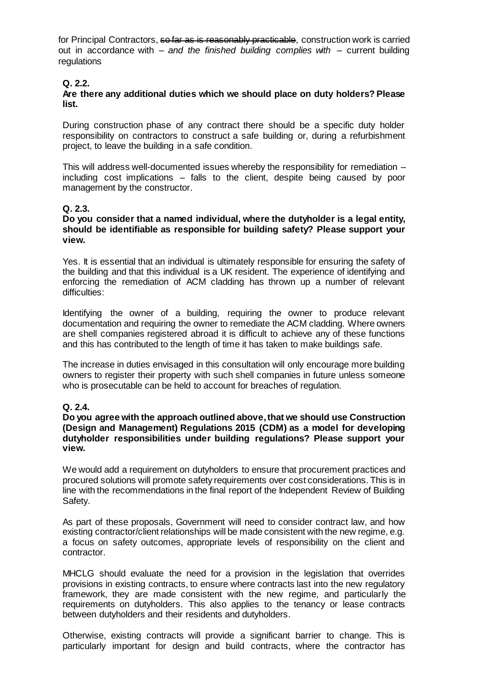for Principal Contractors, so far as is reasonably practicable, construction work is carried out in accordance with *– and the finished building complies with –* current building **regulations** 

## **Q. 2.2.**

#### **Are there any additional duties which we should place on duty holders? Please list.**

During construction phase of any contract there should be a specific duty holder responsibility on contractors to construct a safe building or, during a refurbishment project, to leave the building in a safe condition.

This will address well-documented issues whereby the responsibility for remediation – including cost implications – falls to the client, despite being caused by poor management by the constructor.

## **Q. 2.3.**

#### **Do you consider that a named individual, where the dutyholder is a legal entity, should be identifiable as responsible for building safety? Please support your view.**

Yes. It is essential that an individual is ultimately responsible for ensuring the safety of the building and that this individual is a UK resident. The experience of identifying and enforcing the remediation of ACM cladding has thrown up a number of relevant difficulties:

Identifying the owner of a building, requiring the owner to produce relevant documentation and requiring the owner to remediate the ACM cladding. Where owners are shell companies registered abroad it is difficult to achieve any of these functions and this has contributed to the length of time it has taken to make buildings safe.

The increase in duties envisaged in this consultation will only encourage more building owners to register their property with such shell companies in future unless someone who is prosecutable can be held to account for breaches of regulation.

## **Q. 2.4.**

#### **Do you agree with the approach outlined above, that we should use Construction (Design and Management) Regulations 2015 (CDM) as a model for developing dutyholder responsibilities under building regulations? Please support your view.**

We would add a requirement on dutyholders to ensure that procurement practices and procured solutions will promote safety requirements over cost considerations. This is in line with the recommendations in the final report of the Independent Review of Building Safety.

As part of these proposals, Government will need to consider contract law, and how existing contractor/client relationships will be made consistent with the new regime, e.g. a focus on safety outcomes, appropriate levels of responsibility on the client and contractor.

MHCLG should evaluate the need for a provision in the legislation that overrides provisions in existing contracts, to ensure where contracts last into the new regulatory framework, they are made consistent with the new regime, and particularly the requirements on dutyholders. This also applies to the tenancy or lease contracts between dutyholders and their residents and dutyholders.

Otherwise, existing contracts will provide a significant barrier to change. This is particularly important for design and build contracts, where the contractor has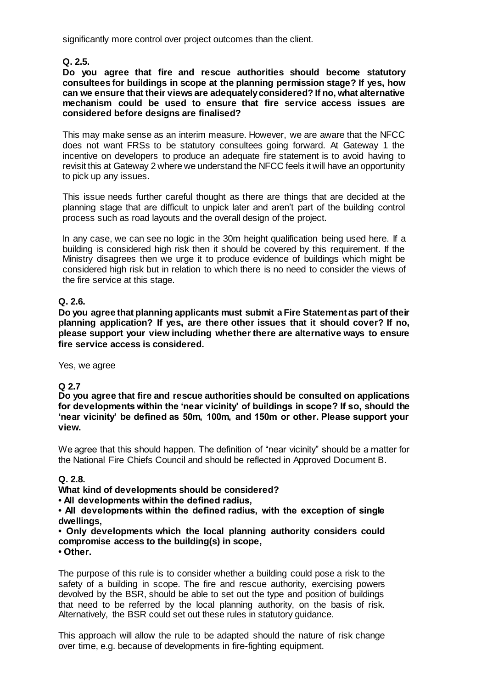significantly more control over project outcomes than the client.

**Q. 2.5.**

#### **Do you agree that fire and rescue authorities should become statutory consultees for buildings in scope at the planning permission stage? If yes, how can we ensure that their views are adequately considered? If no, what alternative mechanism could be used to ensure that fire service access issues are considered before designs are finalised?**

This may make sense as an interim measure. However, we are aware that the NFCC does not want FRSs to be statutory consultees going forward. At Gateway 1 the incentive on developers to produce an adequate fire statement is to avoid having to revisit this at Gateway 2 where we understand the NFCC feels it will have an opportunity to pick up any issues.

This issue needs further careful thought as there are things that are decided at the planning stage that are difficult to unpick later and aren't part of the building control process such as road layouts and the overall design of the project.

In any case, we can see no logic in the 30m height qualification being used here. If a building is considered high risk then it should be covered by this requirement. If the Ministry disagrees then we urge it to produce evidence of buildings which might be considered high risk but in relation to which there is no need to consider the views of the fire service at this stage.

# **Q. 2.6.**

**Do you agree that planning applicants must submit a Fire Statement as part of their planning application? If yes, are there other issues that it should cover? If no, please support your view including whether there are alternative ways to ensure fire service access is considered.**

Yes, we agree

# **Q 2.7**

**Do you agree that fire and rescue authorities should be consulted on applications for developments within the 'near vicinity' of buildings in scope? If so, should the 'near vicinity' be defined as 50m, 100m, and 150m or other. Please support your view.**

We agree that this should happen. The definition of "near vicinity" should be a matter for the National Fire Chiefs Council and should be reflected in Approved Document B.

## **Q. 2.8.**

# **What kind of developments should be considered?**

**• All developments within the defined radius,**

**• All developments within the defined radius, with the exception of single dwellings,**

# **• Only developments which the local planning authority considers could compromise access to the building(s) in scope,**

**• Other.**

The purpose of this rule is to consider whether a building could pose a risk to the safety of a building in scope. The fire and rescue authority, exercising powers devolved by the BSR, should be able to set out the type and position of buildings that need to be referred by the local planning authority, on the basis of risk. Alternatively, the BSR could set out these rules in statutory guidance.

This approach will allow the rule to be adapted should the nature of risk change over time, e.g. because of developments in fire-fighting equipment.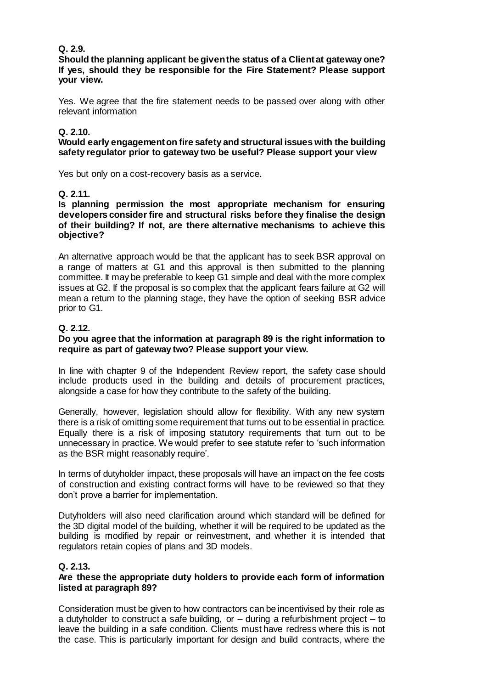# **Q. 2.9.**

**Should the planning applicant be given the status of a Client at gateway one? If yes, should they be responsible for the Fire Statement? Please support your view.**

Yes. We agree that the fire statement needs to be passed over along with other relevant information

## **Q. 2.10.**

#### **Would early engagement on fire safety and structural issues with the building safety regulator prior to gateway two be useful? Please support your view**

Yes but only on a cost-recovery basis as a service.

## **Q. 2.11.**

#### **Is planning permission the most appropriate mechanism for ensuring developers consider fire and structural risks before they finalise the design of their building? If not, are there alternative mechanisms to achieve this objective?**

An alternative approach would be that the applicant has to seek BSR approval on a range of matters at G1 and this approval is then submitted to the planning committee. It may be preferable to keep G1 simple and deal with the more complex issues at G2. If the proposal is so complex that the applicant fears failure at G2 will mean a return to the planning stage, they have the option of seeking BSR advice prior to G1.

## **Q. 2.12.**

## **Do you agree that the information at paragraph 89 is the right information to require as part of gateway two? Please support your view.**

In line with chapter 9 of the Independent Review report, the safety case should include products used in the building and details of procurement practices, alongside a case for how they contribute to the safety of the building.

Generally, however, legislation should allow for flexibility. With any new system there is a risk of omitting some requirement that turns out to be essential in practice. Equally there is a risk of imposing statutory requirements that turn out to be unnecessary in practice. We would prefer to see statute refer to 'such information as the BSR might reasonably require'.

In terms of dutyholder impact, these proposals will have an impact on the fee costs of construction and existing contract forms will have to be reviewed so that they don't prove a barrier for implementation.

Dutyholders will also need clarification around which standard will be defined for the 3D digital model of the building, whether it will be required to be updated as the building is modified by repair or reinvestment, and whether it is intended that regulators retain copies of plans and 3D models.

## **Q. 2.13.**

## **Are these the appropriate duty holders to provide each form of information listed at paragraph 89?**

Consideration must be given to how contractors can be incentivised by their role as a dutyholder to construct a safe building, or – during a refurbishment project – to leave the building in a safe condition. Clients must have redress where this is not the case. This is particularly important for design and build contracts, where the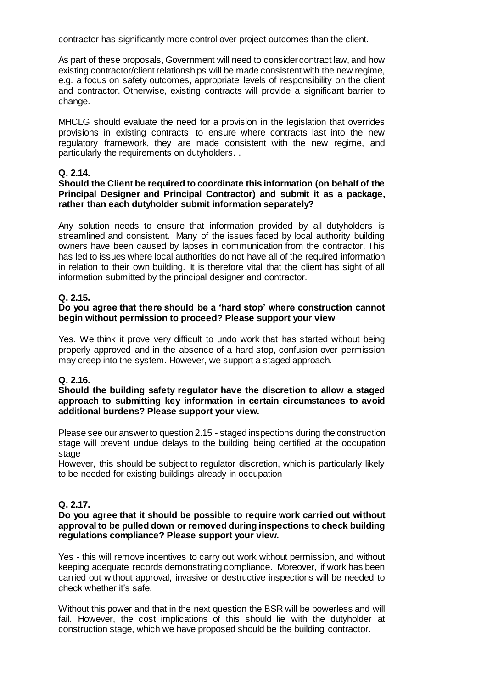contractor has significantly more control over project outcomes than the client.

As part of these proposals, Government will need to consider contract law, and how existing contractor/client relationships will be made consistent with the new regime, e.g. a focus on safety outcomes, appropriate levels of responsibility on the client and contractor. Otherwise, existing contracts will provide a significant barrier to change.

MHCLG should evaluate the need for a provision in the legislation that overrides provisions in existing contracts, to ensure where contracts last into the new regulatory framework, they are made consistent with the new regime, and particularly the requirements on dutyholders. .

## **Q. 2.14.**

## **Should the Client be required to coordinate this information (on behalf of the Principal Designer and Principal Contractor) and submit it as a package, rather than each dutyholder submit information separately?**

Any solution needs to ensure that information provided by all dutyholders is streamlined and consistent. Many of the issues faced by local authority building owners have been caused by lapses in communication from the contractor. This has led to issues where local authorities do not have all of the required information in relation to their own building. It is therefore vital that the client has sight of all information submitted by the principal designer and contractor.

## **Q. 2.15.**

## **Do you agree that there should be a 'hard stop' where construction cannot begin without permission to proceed? Please support your view**

Yes. We think it prove very difficult to undo work that has started without being properly approved and in the absence of a hard stop, confusion over permission may creep into the system. However, we support a staged approach.

# **Q. 2.16.**

#### **Should the building safety regulator have the discretion to allow a staged approach to submitting key information in certain circumstances to avoid additional burdens? Please support your view.**

Please see our answer to question 2.15 - staged inspections during the construction stage will prevent undue delays to the building being certified at the occupation stage

However, this should be subject to regulator discretion, which is particularly likely to be needed for existing buildings already in occupation

## **Q. 2.17.**

#### **Do you agree that it should be possible to require work carried out without approval to be pulled down or removed during inspections to check building regulations compliance? Please support your view.**

Yes - this will remove incentives to carry out work without permission, and without keeping adequate records demonstrating compliance. Moreover, if work has been carried out without approval, invasive or destructive inspections will be needed to check whether it's safe.

Without this power and that in the next question the BSR will be powerless and will fail. However, the cost implications of this should lie with the dutyholder at construction stage, which we have proposed should be the building contractor.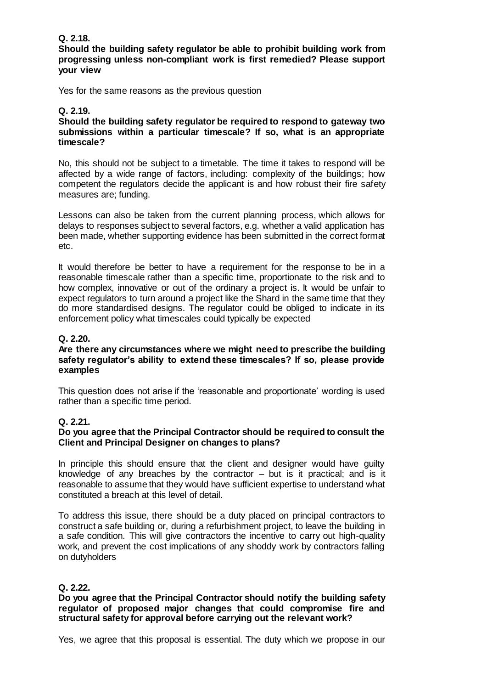## **Q. 2.18.**

**Should the building safety regulator be able to prohibit building work from progressing unless non-compliant work is first remedied? Please support your view**

Yes for the same reasons as the previous question

# **Q. 2.19.**

**Should the building safety regulator be required to respond to gateway two submissions within a particular timescale? If so, what is an appropriate timescale?**

No, this should not be subject to a timetable. The time it takes to respond will be affected by a wide range of factors, including: complexity of the buildings; how competent the regulators decide the applicant is and how robust their fire safety measures are; funding.

Lessons can also be taken from the current planning process, which allows for delays to responses subject to several factors, e.g. whether a valid application has been made, whether supporting evidence has been submitted in the correct format etc.

It would therefore be better to have a requirement for the response to be in a reasonable timescale rather than a specific time, proportionate to the risk and to how complex, innovative or out of the ordinary a project is. It would be unfair to expect regulators to turn around a project like the Shard in the same time that they do more standardised designs. The regulator could be obliged to indicate in its enforcement policy what timescales could typically be expected

# **Q. 2.20.**

#### **Are there any circumstances where we might need to prescribe the building safety regulator's ability to extend these timescales? If so, please provide examples**

This question does not arise if the 'reasonable and proportionate' wording is used rather than a specific time period.

## **Q. 2.21.**

#### **Do you agree that the Principal Contractor should be required to consult the Client and Principal Designer on changes to plans?**

In principle this should ensure that the client and designer would have guilty knowledge of any breaches by the contractor – but is it practical; and is it reasonable to assume that they would have sufficient expertise to understand what constituted a breach at this level of detail.

To address this issue, there should be a duty placed on principal contractors to construct a safe building or, during a refurbishment project, to leave the building in a safe condition. This will give contractors the incentive to carry out high-quality work, and prevent the cost implications of any shoddy work by contractors falling on dutyholders

## **Q. 2.22.**

#### **Do you agree that the Principal Contractor should notify the building safety regulator of proposed major changes that could compromise fire and structural safety for approval before carrying out the relevant work?**

Yes, we agree that this proposal is essential. The duty which we propose in our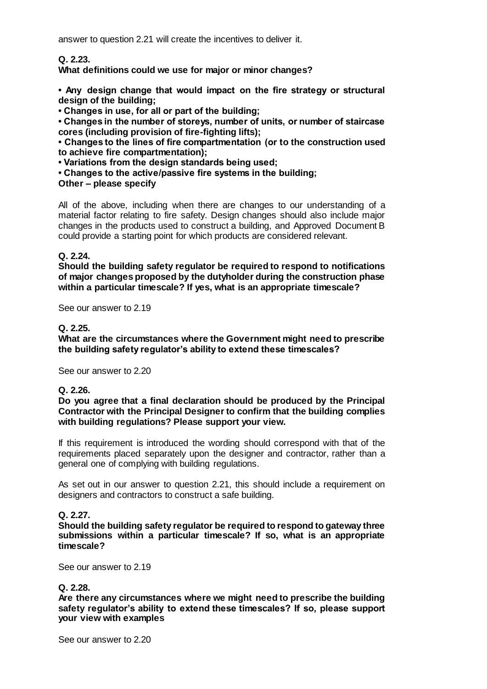answer to question 2.21 will create the incentives to deliver it.

**Q. 2.23.**

**What definitions could we use for major or minor changes?**

**• Any design change that would impact on the fire strategy or structural design of the building;**

**• Changes in use, for all or part of the building;**

**• Changes in the number of storeys, number of units, or number of staircase cores (including provision of fire-fighting lifts);**

**• Changes to the lines of fire compartmentation (or to the construction used to achieve fire compartmentation);**

**• Variations from the design standards being used;**

**• Changes to the active/passive fire systems in the building;**

#### **Other – please specify**

All of the above, including when there are changes to our understanding of a material factor relating to fire safety. Design changes should also include major changes in the products used to construct a building, and Approved Document B could provide a starting point for which products are considered relevant.

## **Q. 2.24.**

**Should the building safety regulator be required to respond to notifications of major changes proposed by the dutyholder during the construction phase within a particular timescale? If yes, what is an appropriate timescale?**

See our answer to 2.19

#### **Q. 2.25.**

**What are the circumstances where the Government might need to prescribe the building safety regulator's ability to extend these timescales?**

See our answer to 2.20

## **Q. 2.26.**

**Do you agree that a final declaration should be produced by the Principal Contractor with the Principal Designer to confirm that the building complies with building regulations? Please support your view.**

If this requirement is introduced the wording should correspond with that of the requirements placed separately upon the designer and contractor, rather than a general one of complying with building regulations.

As set out in our answer to question 2.21, this should include a requirement on designers and contractors to construct a safe building.

## **Q. 2.27.**

**Should the building safety regulator be required to respond to gateway three submissions within a particular timescale? If so, what is an appropriate timescale?**

See our answer to 2.19

## **Q. 2.28.**

**Are there any circumstances where we might need to prescribe the building safety regulator's ability to extend these timescales? If so, please support your view with examples**

See our answer to 2.20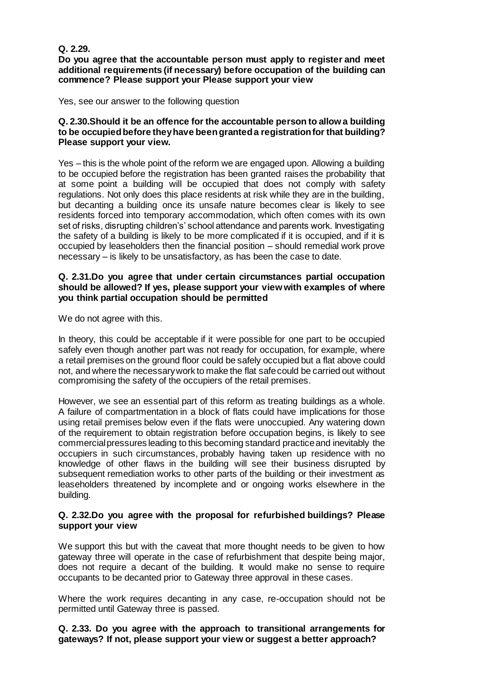# **Q. 2.29.**

**Do you agree that the accountable person must apply to register and meet additional requirements (if necessary) before occupation of the building can commence? Please support your Please support your view**

Yes, see our answer to the following question

#### **Q. 2.30.Should it be an offence for the accountable person to allow a building to be occupied before they have been granted a registration for that building? Please support your view.**

Yes – this is the whole point of the reform we are engaged upon. Allowing a building to be occupied before the registration has been granted raises the probability that at some point a building will be occupied that does not comply with safety regulations. Not only does this place residents at risk while they are in the building, but decanting a building once its unsafe nature becomes clear is likely to see residents forced into temporary accommodation, which often comes with its own set of risks, disrupting children's' school attendance and parents work. Investigating the safety of a building is likely to be more complicated if it is occupied, and if it is occupied by leaseholders then the financial position – should remedial work prove necessary – is likely to be unsatisfactory, as has been the case to date.

#### **Q. 2.31.Do you agree that under certain circumstances partial occupation should be allowed? If yes, please support your view with examples of where you think partial occupation should be permitted**

We do not agree with this.

In theory, this could be acceptable if it were possible for one part to be occupied safely even though another part was not ready for occupation, for example, where a retail premises on the ground floor could be safely occupied but a flat above could not, and where the necessary work to make the flat safe could be carried out without compromising the safety of the occupiers of the retail premises.

However, we see an essential part of this reform as treating buildings as a whole. A failure of compartmentation in a block of flats could have implications for those using retail premises below even if the flats were unoccupied. Any watering down of the requirement to obtain registration before occupation begins, is likely to see commercial pressures leading to this becoming standard practice and inevitably the occupiers in such circumstances, probably having taken up residence with no knowledge of other flaws in the building will see their business disrupted by subsequent remediation works to other parts of the building or their investment as leaseholders threatened by incomplete and or ongoing works elsewhere in the building.

## **Q. 2.32.Do you agree with the proposal for refurbished buildings? Please support your view**

We support this but with the caveat that more thought needs to be given to how gateway three will operate in the case of refurbishment that despite being major, does not require a decant of the building. It would make no sense to require occupants to be decanted prior to Gateway three approval in these cases.

Where the work requires decanting in any case, re-occupation should not be permitted until Gateway three is passed.

**Q. 2.33. Do you agree with the approach to transitional arrangements for gateways? If not, please support your view or suggest a better approach?**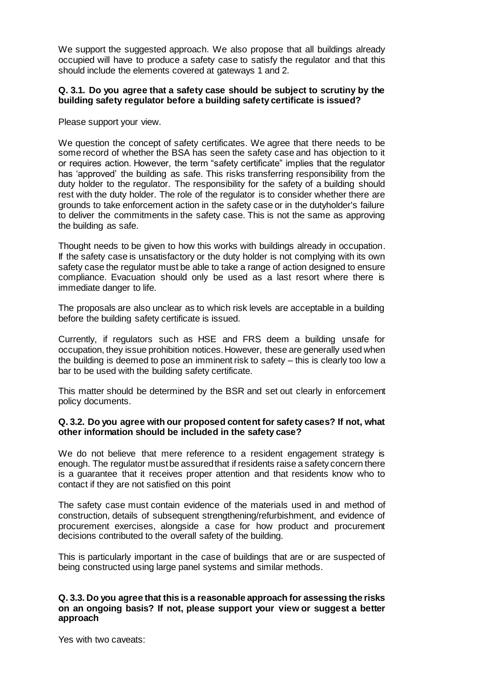We support the suggested approach. We also propose that all buildings already occupied will have to produce a safety case to satisfy the regulator and that this should include the elements covered at gateways 1 and 2.

## **Q. 3.1. Do you agree that a safety case should be subject to scrutiny by the building safety regulator before a building safety certificate is issued?**

Please support your view.

We question the concept of safety certificates. We agree that there needs to be some record of whether the BSA has seen the safety case and has objection to it or requires action. However, the term "safety certificate" implies that the regulator has 'approved' the building as safe. This risks transferring responsibility from the duty holder to the regulator. The responsibility for the safety of a building should rest with the duty holder. The role of the regulator is to consider whether there are grounds to take enforcement action in the safety case or in the dutyholder's failure to deliver the commitments in the safety case. This is not the same as approving the building as safe.

Thought needs to be given to how this works with buildings already in occupation. If the safety case is unsatisfactory or the duty holder is not complying with its own safety case the regulator must be able to take a range of action designed to ensure compliance. Evacuation should only be used as a last resort where there is immediate danger to life.

The proposals are also unclear as to which risk levels are acceptable in a building before the building safety certificate is issued.

Currently, if regulators such as HSE and FRS deem a building unsafe for occupation, they issue prohibition notices. However, these are generally used when the building is deemed to pose an imminent risk to safety – this is clearly too low a bar to be used with the building safety certificate.

This matter should be determined by the BSR and set out clearly in enforcement policy documents.

#### **Q. 3.2. Do you agree with our proposed content for safety cases? If not, what other information should be included in the safety case?**

We do not believe that mere reference to a resident engagement strategy is enough. The regulator must be assured that if residents raise a safety concern there is a guarantee that it receives proper attention and that residents know who to contact if they are not satisfied on this point

The safety case must contain evidence of the materials used in and method of construction, details of subsequent strengthening/refurbishment, and evidence of procurement exercises, alongside a case for how product and procurement decisions contributed to the overall safety of the building.

This is particularly important in the case of buildings that are or are suspected of being constructed using large panel systems and similar methods.

## **Q. 3.3. Do you agree that this is a reasonable approach for assessing the risks on an ongoing basis? If not, please support your view or suggest a better approach**

Yes with two caveats: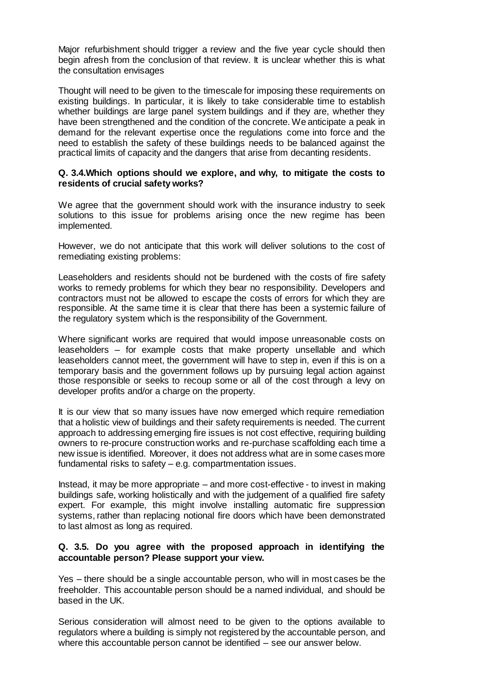Major refurbishment should trigger a review and the five year cycle should then begin afresh from the conclusion of that review. It is unclear whether this is what the consultation envisages

Thought will need to be given to the timescale for imposing these requirements on existing buildings. In particular, it is likely to take considerable time to establish whether buildings are large panel system buildings and if they are, whether they have been strengthened and the condition of the concrete. We anticipate a peak in demand for the relevant expertise once the regulations come into force and the need to establish the safety of these buildings needs to be balanced against the practical limits of capacity and the dangers that arise from decanting residents.

#### **Q. 3.4.Which options should we explore, and why, to mitigate the costs to residents of crucial safety works?**

We agree that the government should work with the insurance industry to seek solutions to this issue for problems arising once the new regime has been implemented.

However, we do not anticipate that this work will deliver solutions to the cost of remediating existing problems:

Leaseholders and residents should not be burdened with the costs of fire safety works to remedy problems for which they bear no responsibility. Developers and contractors must not be allowed to escape the costs of errors for which they are responsible. At the same time it is clear that there has been a systemic failure of the regulatory system which is the responsibility of the Government.

Where significant works are required that would impose unreasonable costs on leaseholders – for example costs that make property unsellable and which leaseholders cannot meet, the government will have to step in, even if this is on a temporary basis and the government follows up by pursuing legal action against those responsible or seeks to recoup some or all of the cost through a levy on developer profits and/or a charge on the property.

It is our view that so many issues have now emerged which require remediation that a holistic view of buildings and their safety requirements is needed. The current approach to addressing emerging fire issues is not cost effective, requiring building owners to re-procure construction works and re-purchase scaffolding each time a new issue is identified. Moreover, it does not address what are in some cases more fundamental risks to safety – e.g. compartmentation issues.

Instead, it may be more appropriate – and more cost-effective - to invest in making buildings safe, working holistically and with the judgement of a qualified fire safety expert. For example, this might involve installing automatic fire suppression systems, rather than replacing notional fire doors which have been demonstrated to last almost as long as required.

#### **Q. 3.5. Do you agree with the proposed approach in identifying the accountable person? Please support your view.**

Yes – there should be a single accountable person, who will in most cases be the freeholder. This accountable person should be a named individual, and should be based in the UK.

Serious consideration will almost need to be given to the options available to regulators where a building is simply not registered by the accountable person, and where this accountable person cannot be identified – see our answer below.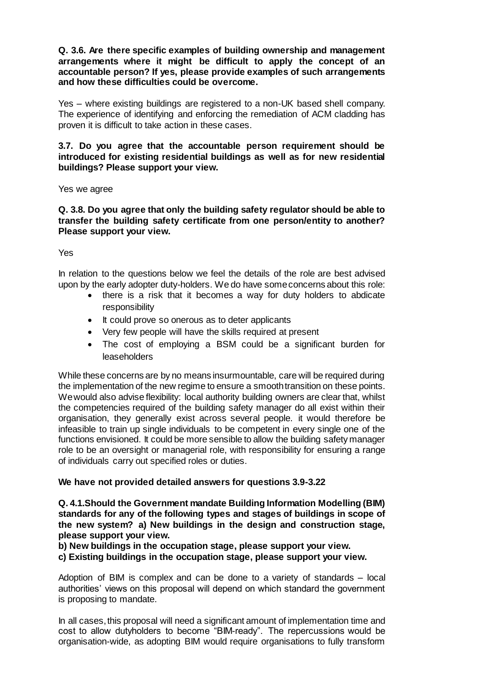**Q. 3.6. Are there specific examples of building ownership and management arrangements where it might be difficult to apply the concept of an accountable person? If yes, please provide examples of such arrangements and how these difficulties could be overcome.** 

Yes – where existing buildings are registered to a non-UK based shell company. The experience of identifying and enforcing the remediation of ACM cladding has proven it is difficult to take action in these cases.

## **3.7. Do you agree that the accountable person requirement should be introduced for existing residential buildings as well as for new residential buildings? Please support your view.**

#### Yes we agree

**Q. 3.8. Do you agree that only the building safety regulator should be able to transfer the building safety certificate from one person/entity to another? Please support your view.**

#### Yes

In relation to the questions below we feel the details of the role are best advised upon by the early adopter duty-holders. We do have some concerns about this role:

- there is a risk that it becomes a way for duty holders to abdicate responsibility
- It could prove so onerous as to deter applicants
- Very few people will have the skills required at present
- The cost of employing a BSM could be a significant burden for leaseholders

While these concerns are by no means insurmountable, care will be required during the implementation of the new regime to ensure a smooth transition on these points. We would also advise flexibility: local authority building owners are clear that, whilst the competencies required of the building safety manager do all exist within their organisation, they generally exist across several people. it would therefore be infeasible to train up single individuals to be competent in every single one of the functions envisioned. It could be more sensible to allow the building safety manager role to be an oversight or managerial role, with responsibility for ensuring a range of individuals carry out specified roles or duties.

## **We have not provided detailed answers for questions 3.9-3.22**

**Q. 4.1.Should the Government mandate Building Information Modelling (BIM) standards for any of the following types and stages of buildings in scope of the new system? a) New buildings in the design and construction stage, please support your view.**

## **b) New buildings in the occupation stage, please support your view.**

**c) Existing buildings in the occupation stage, please support your view.**

Adoption of BIM is complex and can be done to a variety of standards – local authorities' views on this proposal will depend on which standard the government is proposing to mandate.

In all cases, this proposal will need a significant amount of implementation time and cost to allow dutyholders to become "BIM-ready". The repercussions would be organisation-wide, as adopting BIM would require organisations to fully transform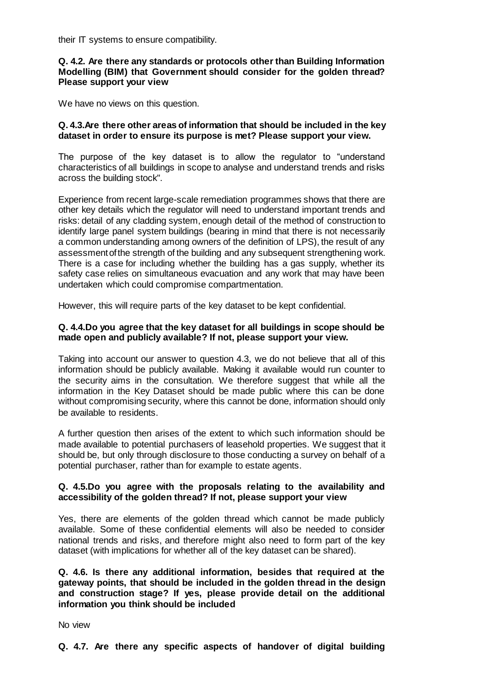their IT systems to ensure compatibility.

## **Q. 4.2. Are there any standards or protocols other than Building Information Modelling (BIM) that Government should consider for the golden thread? Please support your view**

We have no views on this question.

## **Q. 4.3.Are there other areas of information that should be included in the key dataset in order to ensure its purpose is met? Please support your view.**

The purpose of the key dataset is to allow the regulator to "understand characteristics of all buildings in scope to analyse and understand trends and risks across the building stock".

Experience from recent large-scale remediation programmes shows that there are other key details which the regulator will need to understand important trends and risks: detail of any cladding system, enough detail of the method of construction to identify large panel system buildings (bearing in mind that there is not necessarily a common understanding among owners of the definition of LPS), the result of any assessment of the strength of the building and any subsequent strengthening work. There is a case for including whether the building has a gas supply, whether its safety case relies on simultaneous evacuation and any work that may have been undertaken which could compromise compartmentation.

However, this will require parts of the key dataset to be kept confidential.

## **Q. 4.4.Do you agree that the key dataset for all buildings in scope should be made open and publicly available? If not, please support your view.**

Taking into account our answer to question 4.3, we do not believe that all of this information should be publicly available. Making it available would run counter to the security aims in the consultation. We therefore suggest that while all the information in the Key Dataset should be made public where this can be done without compromising security, where this cannot be done, information should only be available to residents.

A further question then arises of the extent to which such information should be made available to potential purchasers of leasehold properties. We suggest that it should be, but only through disclosure to those conducting a survey on behalf of a potential purchaser, rather than for example to estate agents.

#### **Q. 4.5.Do you agree with the proposals relating to the availability and accessibility of the golden thread? If not, please support your view**

Yes, there are elements of the golden thread which cannot be made publicly available. Some of these confidential elements will also be needed to consider national trends and risks, and therefore might also need to form part of the key dataset (with implications for whether all of the key dataset can be shared).

## **Q. 4.6. Is there any additional information, besides that required at the gateway points, that should be included in the golden thread in the design and construction stage? If yes, please provide detail on the additional information you think should be included**

No view

**Q. 4.7. Are there any specific aspects of handover of digital building**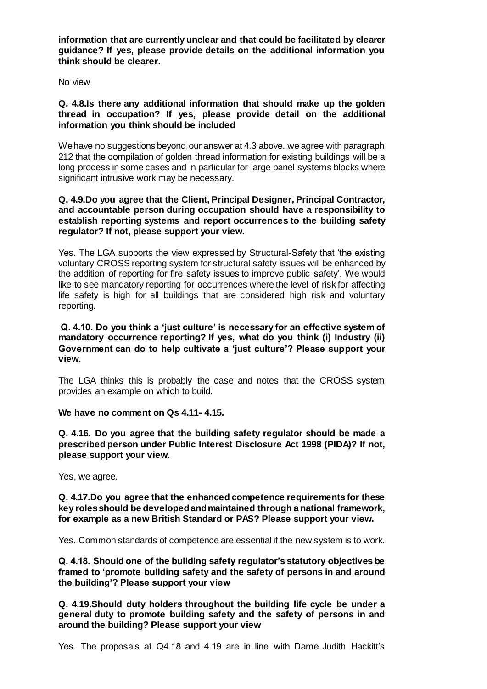**information that are currently unclear and that could be facilitated by clearer guidance? If yes, please provide details on the additional information you think should be clearer.**

No view

## **Q. 4.8.Is there any additional information that should make up the golden thread in occupation? If yes, please provide detail on the additional information you think should be included**

We have no suggestions beyond our answer at 4.3 above. we agree with paragraph 212 that the compilation of golden thread information for existing buildings will be a long process in some cases and in particular for large panel systems blocks where significant intrusive work may be necessary.

## **Q. 4.9.Do you agree that the Client, Principal Designer, Principal Contractor, and accountable person during occupation should have a responsibility to establish reporting systems and report occurrences to the building safety regulator? If not, please support your view.**

Yes. The LGA supports the view expressed by Structural-Safety that 'the existing voluntary CROSS reporting system for structural safety issues will be enhanced by the addition of reporting for fire safety issues to improve public safety'. We would like to see mandatory reporting for occurrences where the level of risk for affecting life safety is high for all buildings that are considered high risk and voluntary reporting.

**Q. 4.10. Do you think a 'just culture' is necessary for an effective system of mandatory occurrence reporting? If yes, what do you think (i) Industry (ii) Government can do to help cultivate a 'just culture'? Please support your view.** 

The LGA thinks this is probably the case and notes that the CROSS system provides an example on which to build.

## **We have no comment on Qs 4.11- 4.15.**

**Q. 4.16. Do you agree that the building safety regulator should be made a prescribed person under Public Interest Disclosure Act 1998 (PIDA)? If not, please support your view.**

Yes, we agree.

**Q. 4.17.Do you agree that the enhanced competence requirements for these key roles should be developed and maintained through a national framework, for example as a new British Standard or PAS? Please support your view.** 

Yes. Common standards of competence are essential if the new system is to work.

**Q. 4.18. Should one of the building safety regulator's statutory objectives be framed to 'promote building safety and the safety of persons in and around the building'? Please support your view**

**Q. 4.19.Should duty holders throughout the building life cycle be under a general duty to promote building safety and the safety of persons in and around the building? Please support your view**

Yes. The proposals at Q4.18 and 4.19 are in line with Dame Judith Hackitt's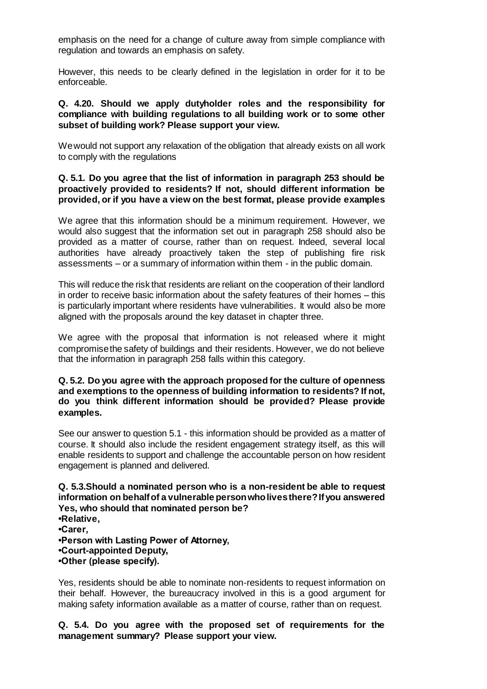emphasis on the need for a change of culture away from simple compliance with regulation and towards an emphasis on safety.

However, this needs to be clearly defined in the legislation in order for it to be enforceable.

## **Q. 4.20. Should we apply dutyholder roles and the responsibility for compliance with building regulations to all building work or to some other subset of building work? Please support your view.**

We would not support any relaxation of the obligation that already exists on all work to comply with the regulations

## **Q. 5.1. Do you agree that the list of information in paragraph 253 should be proactively provided to residents? If not, should different information be provided, or if you have a view on the best format, please provide examples**

We agree that this information should be a minimum requirement. However, we would also suggest that the information set out in paragraph 258 should also be provided as a matter of course, rather than on request. Indeed, several local authorities have already proactively taken the step of publishing fire risk assessments – or a summary of information within them - in the public domain.

This will reduce the risk that residents are reliant on the cooperation of their landlord in order to receive basic information about the safety features of their homes – this is particularly important where residents have vulnerabilities. It would also be more aligned with the proposals around the key dataset in chapter three.

We agree with the proposal that information is not released where it might compromise the safety of buildings and their residents. However, we do not believe that the information in paragraph 258 falls within this category.

#### **Q. 5.2. Do you agree with the approach proposed for the culture of openness and exemptions to the openness of building information to residents? If not, do you think different information should be provided? Please provide examples.**

See our answer to question 5.1 - this information should be provided as a matter of course. It should also include the resident engagement strategy itself, as this will enable residents to support and challenge the accountable person on how resident engagement is planned and delivered.

#### **Q. 5.3.Should a nominated person who is a non-resident be able to request information on behalf of a vulnerable person who lives there? If you answered Yes, who should that nominated person be? •Relative,**

**•Carer,**

- **•Person with Lasting Power of Attorney,**
- **•Court-appointed Deputy,**
- **•Other (please specify).**

Yes, residents should be able to nominate non-residents to request information on their behalf. However, the bureaucracy involved in this is a good argument for making safety information available as a matter of course, rather than on request.

**Q. 5.4. Do you agree with the proposed set of requirements for the management summary? Please support your view.**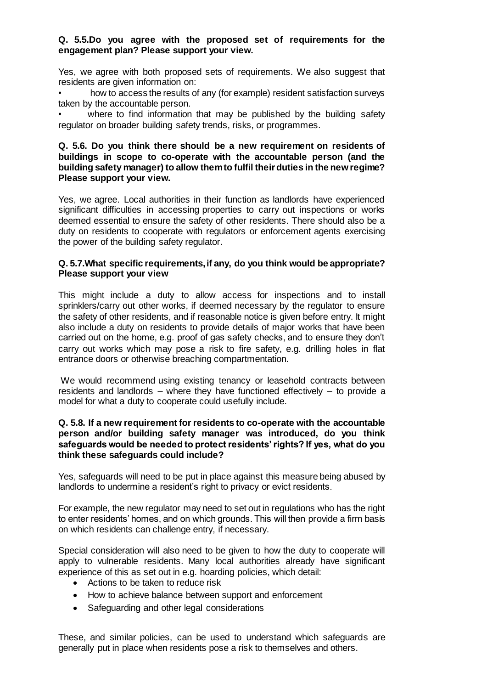## **Q. 5.5.Do you agree with the proposed set of requirements for the engagement plan? Please support your view.**

Yes, we agree with both proposed sets of requirements. We also suggest that residents are given information on:

• how to access the results of any (for example) resident satisfaction surveys taken by the accountable person.

where to find information that may be published by the building safety regulator on broader building safety trends, risks, or programmes.

#### **Q. 5.6. Do you think there should be a new requirement on residents of buildings in scope to co-operate with the accountable person (and the building safety manager) to allow them to fulfil their duties in the new regime? Please support your view.**

Yes, we agree. Local authorities in their function as landlords have experienced significant difficulties in accessing properties to carry out inspections or works deemed essential to ensure the safety of other residents. There should also be a duty on residents to cooperate with regulators or enforcement agents exercising the power of the building safety regulator.

## **Q. 5.7.What specific requirements, if any, do you think would be appropriate? Please support your view**

This might include a duty to allow access for inspections and to install sprinklers/carry out other works, if deemed necessary by the regulator to ensure the safety of other residents, and if reasonable notice is given before entry. It might also include a duty on residents to provide details of major works that have been carried out on the home, e.g. proof of gas safety checks, and to ensure they don't carry out works which may pose a risk to fire safety, e.g. drilling holes in flat entrance doors or otherwise breaching compartmentation.

We would recommend using existing tenancy or leasehold contracts between residents and landlords – where they have functioned effectively – to provide a model for what a duty to cooperate could usefully include.

## **Q. 5.8. If a new requirement for residents to co-operate with the accountable person and/or building safety manager was introduced, do you think safeguards would be needed to protect residents' rights? If yes, what do you think these safeguards could include?**

Yes, safeguards will need to be put in place against this measure being abused by landlords to undermine a resident's right to privacy or evict residents.

For example, the new regulator may need to set out in regulations who has the right to enter residents' homes, and on which grounds. This will then provide a firm basis on which residents can challenge entry, if necessary.

Special consideration will also need to be given to how the duty to cooperate will apply to vulnerable residents. Many local authorities already have significant experience of this as set out in e.g. hoarding policies, which detail:

- Actions to be taken to reduce risk
- How to achieve balance between support and enforcement
- Safeguarding and other legal considerations

These, and similar policies, can be used to understand which safeguards are generally put in place when residents pose a risk to themselves and others.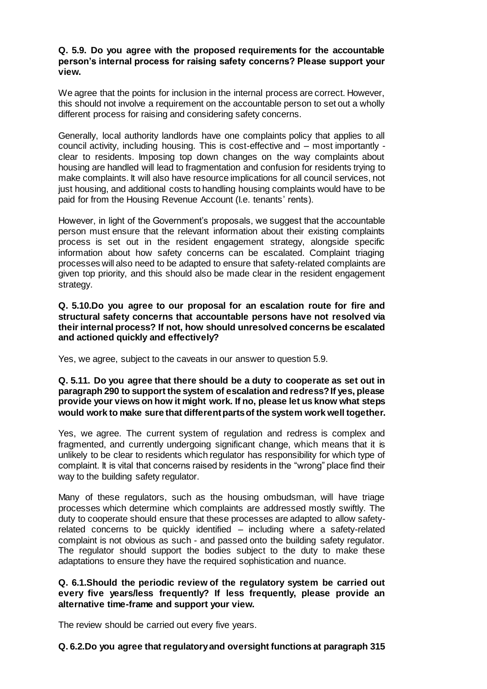## **Q. 5.9. Do you agree with the proposed requirements for the accountable person's internal process for raising safety concerns? Please support your view.**

We agree that the points for inclusion in the internal process are correct. However, this should not involve a requirement on the accountable person to set out a wholly different process for raising and considering safety concerns.

Generally, local authority landlords have one complaints policy that applies to all council activity, including housing. This is cost-effective and – most importantly clear to residents. Imposing top down changes on the way complaints about housing are handled will lead to fragmentation and confusion for residents trying to make complaints. It will also have resource implications for all council services, not just housing, and additional costs to handling housing complaints would have to be paid for from the Housing Revenue Account (I.e. tenants' rents).

However, in light of the Government's proposals, we suggest that the accountable person must ensure that the relevant information about their existing complaints process is set out in the resident engagement strategy, alongside specific information about how safety concerns can be escalated. Complaint triaging processes will also need to be adapted to ensure that safety-related complaints are given top priority, and this should also be made clear in the resident engagement strategy.

**Q. 5.10.Do you agree to our proposal for an escalation route for fire and structural safety concerns that accountable persons have not resolved via their internal process? If not, how should unresolved concerns be escalated and actioned quickly and effectively?**

Yes, we agree, subject to the caveats in our answer to question 5.9.

#### **Q. 5.11. Do you agree that there should be a duty to cooperate as set out in paragraph 290 to support the system of escalation and redress? If yes, please provide your views on how it might work. If no, please let us know what steps would work to make sure that different parts of the system work well together.**

Yes, we agree. The current system of regulation and redress is complex and fragmented, and currently undergoing significant change, which means that it is unlikely to be clear to residents which regulator has responsibility for which type of complaint. It is vital that concerns raised by residents in the "wrong" place find their way to the building safety regulator.

Many of these regulators, such as the housing ombudsman, will have triage processes which determine which complaints are addressed mostly swiftly. The duty to cooperate should ensure that these processes are adapted to allow safetyrelated concerns to be quickly identified – including where a safety-related complaint is not obvious as such - and passed onto the building safety regulator. The regulator should support the bodies subject to the duty to make these adaptations to ensure they have the required sophistication and nuance.

## **Q. 6.1.Should the periodic review of the regulatory system be carried out every five years/less frequently? If less frequently, please provide an alternative time-frame and support your view.**

The review should be carried out every five years.

## **Q. 6.2.Do you agree that regulatory and oversight functions at paragraph 315**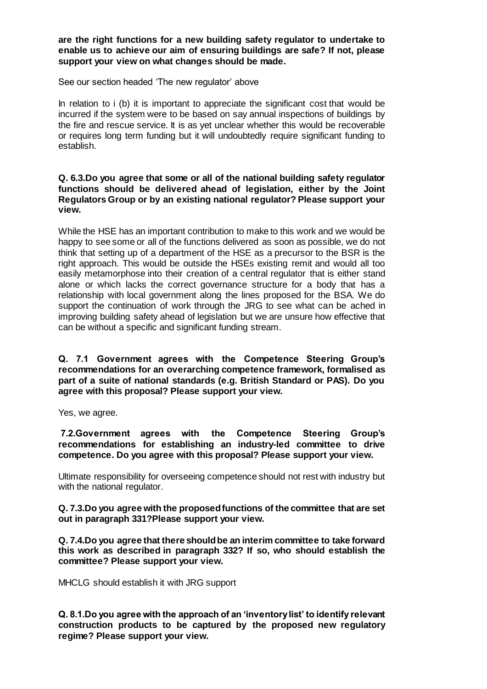**are the right functions for a new building safety regulator to undertake to enable us to achieve our aim of ensuring buildings are safe? If not, please support your view on what changes should be made.**

See our section headed 'The new regulator' above

In relation to i (b) it is important to appreciate the significant cost that would be incurred if the system were to be based on say annual inspections of buildings by the fire and rescue service. It is as yet unclear whether this would be recoverable or requires long term funding but it will undoubtedly require significant funding to establish.

## **Q. 6.3.Do you agree that some or all of the national building safety regulator functions should be delivered ahead of legislation, either by the Joint Regulators Group or by an existing national regulator? Please support your view.**

While the HSE has an important contribution to make to this work and we would be happy to see some or all of the functions delivered as soon as possible, we do not think that setting up of a department of the HSE as a precursor to the BSR is the right approach. This would be outside the HSEs existing remit and would all too easily metamorphose into their creation of a central regulator that is either stand alone or which lacks the correct governance structure for a body that has a relationship with local government along the lines proposed for the BSA. We do support the continuation of work through the JRG to see what can be ached in improving building safety ahead of legislation but we are unsure how effective that can be without a specific and significant funding stream.

**Q. 7.1 Government agrees with the Competence Steering Group's recommendations for an overarching competence framework, formalised as part of a suite of national standards (e.g. British Standard or PAS). Do you agree with this proposal? Please support your view.**

Yes, we agree.

**7.2.Government agrees with the Competence Steering Group's recommendations for establishing an industry-led committee to drive competence. Do you agree with this proposal? Please support your view.**

Ultimate responsibility for overseeing competence should not rest with industry but with the national regulator.

**Q. 7.3.Do you agree with the proposed functions of the committee that are set out in paragraph 331?Please support your view.**

**Q. 7.4.Do you agree that there should be an interim committee to take forward this work as described in paragraph 332? If so, who should establish the committee? Please support your view.**

MHCLG should establish it with JRG support

**Q. 8.1.Do you agree with the approach of an 'inventory list' to identify relevant construction products to be captured by the proposed new regulatory regime? Please support your view.**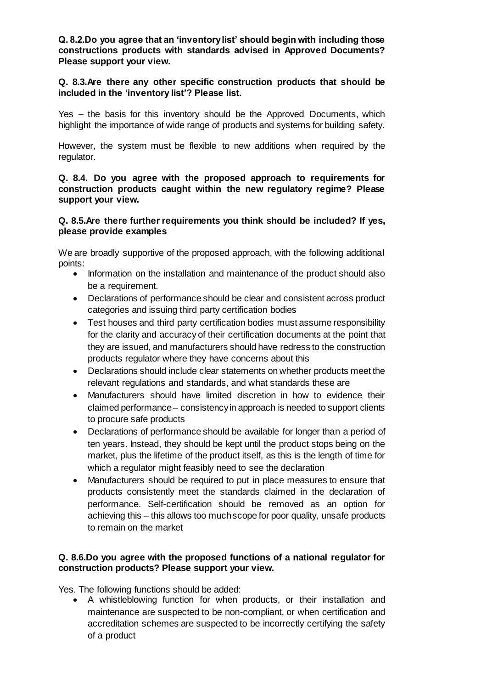**Q. 8.2.Do you agree that an 'inventory list' should begin with including those constructions products with standards advised in Approved Documents? Please support your view.**

## **Q. 8.3.Are there any other specific construction products that should be included in the 'inventory list'? Please list.**

Yes – the basis for this inventory should be the Approved Documents, which highlight the importance of wide range of products and systems for building safety.

However, the system must be flexible to new additions when required by the regulator.

**Q. 8.4. Do you agree with the proposed approach to requirements for construction products caught within the new regulatory regime? Please support your view.** 

## **Q. 8.5.Are there further requirements you think should be included? If yes, please provide examples**

We are broadly supportive of the proposed approach, with the following additional points:

- Information on the installation and maintenance of the product should also be a requirement.
- Declarations of performance should be clear and consistent across product categories and issuing third party certification bodies
- Test houses and third party certification bodies must assume responsibility for the clarity and accuracy of their certification documents at the point that they are issued, and manufacturers should have redress to the construction products regulator where they have concerns about this
- Declarations should include clear statements on whether products meet the relevant regulations and standards, and what standards these are
- Manufacturers should have limited discretion in how to evidence their claimed performance – consistency in approach is needed to support clients to procure safe products
- Declarations of performance should be available for longer than a period of ten years. Instead, they should be kept until the product stops being on the market, plus the lifetime of the product itself, as this is the length of time for which a regulator might feasibly need to see the declaration
- Manufacturers should be required to put in place measures to ensure that products consistently meet the standards claimed in the declaration of performance. Self-certification should be removed as an option for achieving this – this allows too much scope for poor quality, unsafe products to remain on the market

# **Q. 8.6.Do you agree with the proposed functions of a national regulator for construction products? Please support your view.**

Yes. The following functions should be added:

 A whistleblowing function for when products, or their installation and maintenance are suspected to be non-compliant, or when certification and accreditation schemes are suspected to be incorrectly certifying the safety of a product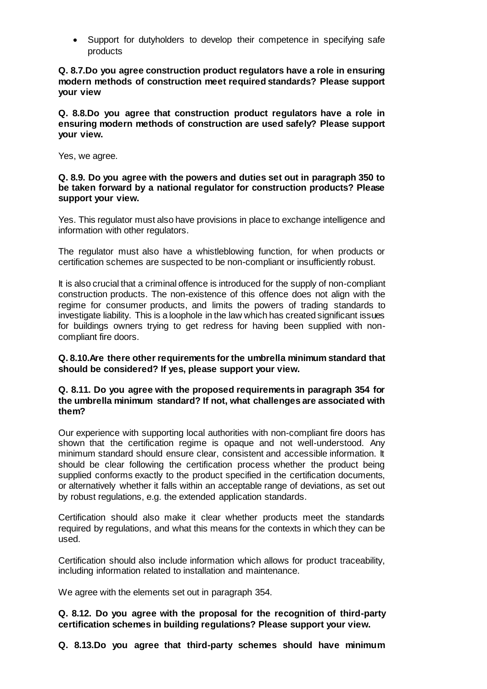• Support for dutyholders to develop their competence in specifying safe products

**Q. 8.7.Do you agree construction product regulators have a role in ensuring modern methods of construction meet required standards? Please support your view**

**Q. 8.8.Do you agree that construction product regulators have a role in ensuring modern methods of construction are used safely? Please support your view.**

Yes, we agree.

#### **Q. 8.9. Do you agree with the powers and duties set out in paragraph 350 to be taken forward by a national regulator for construction products? Please support your view.**

Yes. This regulator must also have provisions in place to exchange intelligence and information with other regulators.

The regulator must also have a whistleblowing function, for when products or certification schemes are suspected to be non-compliant or insufficiently robust.

It is also crucial that a criminal offence is introduced for the supply of non-compliant construction products. The non-existence of this offence does not align with the regime for consumer products, and limits the powers of trading standards to investigate liability. This is a loophole in the law which has created significant issues for buildings owners trying to get redress for having been supplied with noncompliant fire doors.

**Q. 8.10.Are there other requirements for the umbrella minimum standard that should be considered? If yes, please support your view.**

## **Q. 8.11. Do you agree with the proposed requirements in paragraph 354 for the umbrella minimum standard? If not, what challenges are associated with them?**

Our experience with supporting local authorities with non-compliant fire doors has shown that the certification regime is opaque and not well-understood. Any minimum standard should ensure clear, consistent and accessible information. It should be clear following the certification process whether the product being supplied conforms exactly to the product specified in the certification documents, or alternatively whether it falls within an acceptable range of deviations, as set out by robust regulations, e.g. the extended application standards.

Certification should also make it clear whether products meet the standards required by regulations, and what this means for the contexts in which they can be used.

Certification should also include information which allows for product traceability, including information related to installation and maintenance.

We agree with the elements set out in paragraph 354.

**Q. 8.12. Do you agree with the proposal for the recognition of third-party certification schemes in building regulations? Please support your view.**

**Q. 8.13.Do you agree that third-party schemes should have minimum**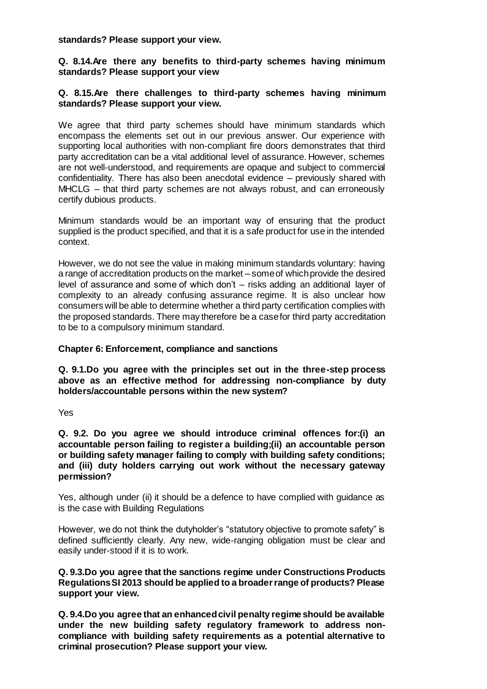#### **standards? Please support your view.**

## **Q. 8.14.Are there any benefits to third-party schemes having minimum standards? Please support your view**

## **Q. 8.15.Are there challenges to third-party schemes having minimum standards? Please support your view.**

We agree that third party schemes should have minimum standards which encompass the elements set out in our previous answer. Our experience with supporting local authorities with non-compliant fire doors demonstrates that third party accreditation can be a vital additional level of assurance. However, schemes are not well-understood, and requirements are opaque and subject to commercial confidentiality. There has also been anecdotal evidence – previously shared with MHCLG – that third party schemes are not always robust, and can erroneously certify dubious products.

Minimum standards would be an important way of ensuring that the product supplied is the product specified, and that it is a safe product for use in the intended context.

However, we do not see the value in making minimum standards voluntary: having a range of accreditation products on the market – some of which provide the desired level of assurance and some of which don't – risks adding an additional layer of complexity to an already confusing assurance regime. It is also unclear how consumers will be able to determine whether a third party certification complies with the proposed standards. There may therefore be a case for third party accreditation to be to a compulsory minimum standard.

## **Chapter 6: Enforcement, compliance and sanctions**

**Q. 9.1.Do you agree with the principles set out in the three-step process above as an effective method for addressing non-compliance by duty holders/accountable persons within the new system?**

Yes

**Q. 9.2. Do you agree we should introduce criminal offences for:(i) an accountable person failing to register a building;(ii) an accountable person or building safety manager failing to comply with building safety conditions; and (iii) duty holders carrying out work without the necessary gateway permission?**

Yes, although under (ii) it should be a defence to have complied with guidance as is the case with Building Regulations

However, we do not think the dutyholder's "statutory objective to promote safety" is defined sufficiently clearly. Any new, wide-ranging obligation must be clear and easily under-stood if it is to work.

**Q. 9.3.Do you agree that the sanctions regime under Constructions Products Regulations SI 2013 should be applied to a broader range of products? Please support your view.**

**Q. 9.4.Do you agree that an enhanced civil penalty regime should be available under the new building safety regulatory framework to address noncompliance with building safety requirements as a potential alternative to criminal prosecution? Please support your view.**